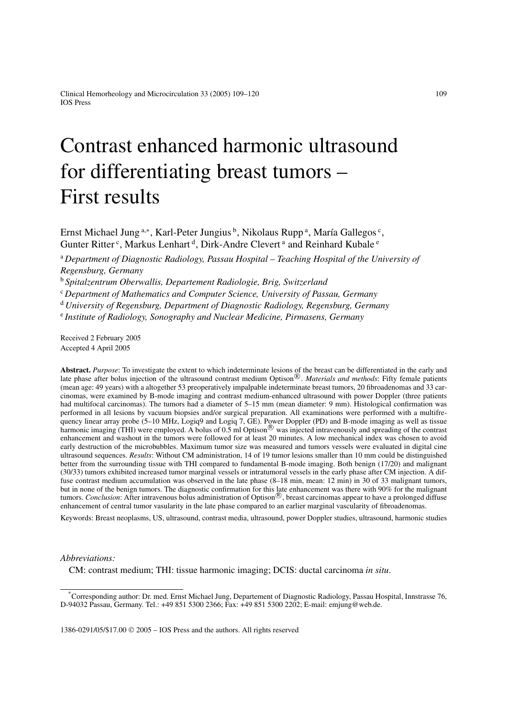# Contrast enhanced harmonic ultrasound for differentiating breast tumors – First results

Ernst Michael Jung <sup>a,∗</sup>, Karl-Peter Jungius <sup>b</sup>, Nikolaus Rupp <sup>a</sup>, María Gallegos <sup>c</sup>, Gunter Ritter<sup>c</sup>, Markus Lenhart<sup>d</sup>, Dirk-Andre Clevert<sup>a</sup> and Reinhard Kubale<sup>e</sup>

<sup>a</sup> *Department of Diagnostic Radiology, Passau Hospital – Teaching Hospital of the University of Regensburg, Germany*

<sup>b</sup> *Spitalzentrum Oberwallis, Departement Radiologie, Brig, Switzerland*

<sup>c</sup> *Department of Mathematics and Computer Science, University of Passau, Germany*

<sup>d</sup> *University of Regensburg, Department of Diagnostic Radiology, Regensburg, Germany*

<sup>e</sup> *Institute of Radiology, Sonography and Nuclear Medicine, Pirmasens, Germany*

Received 2 February 2005 Accepted 4 April 2005

**Abstract.** *Purpose*: To investigate the extent to which indeterminate lesions of the breast can be differentiated in the early and late phase after bolus injection of the ultrasound contrast medium Optison<sup>®</sup>. *Materials and methods*: Fifty female patients (mean age: 49 years) with a altogether 53 preoperatively impalpable indeterminate breast tumors, 20 fibroadenomas and 33 carcinomas, were examined by B-mode imaging and contrast medium-enhanced ultrasound with power Doppler (three patients had multifocal carcinomas). The tumors had a diameter of 5–15 mm (mean diameter: 9 mm). Histological confirmation was performed in all lesions by vacuum biopsies and/or surgical preparation. All examinations were performed with a multifrequency linear array probe (5–10 MHz, Logiq9 and Logiq 7, GE). Power Doppler (PD) and B-mode imaging as well as tissue harmonic imaging (THI) were employed. A bolus of 0.5 ml Optison $\overline{\mathcal{O}}$  was injected intravenously and spreading of the contrast enhancement and washout in the tumors were followed for at least 20 minutes. A low mechanical index was chosen to avoid early destruction of the microbubbles. Maximum tumor size was measured and tumors vessels were evaluated in digital cine ultrasound sequences. *Results*: Without CM administration, 14 of 19 tumor lesions smaller than 10 mm could be distinguished better from the surrounding tissue with THI compared to fundamental B-mode imaging. Both benign (17/20) and malignant (30/33) tumors exhibited increased tumor marginal vessels or intratumoral vessels in the early phase after CM injection. A diffuse contrast medium accumulation was observed in the late phase (8–18 min, mean: 12 min) in 30 of 33 malignant tumors, but in none of the benign tumors. The diagnostic confirmation for this late enhancement was there with 90% for the malignant tumors. *Conclusion*: After intravenous bolus administration of Optison®, breast carcinomas appear to have a prolonged diffuse enhancement of central tumor vasularity in the late phase compared to an earlier marginal vascularity of fibroadenomas.

Keywords: Breast neoplasms, US, ultrasound, contrast media, ultrasound, power Doppler studies, ultrasound, harmonic studies

# *Abbreviations:*

CM: contrast medium; THI: tissue harmonic imaging; DCIS: ductal carcinoma *in situ*.

1386-0291/05/\$17.00  $\odot$  2005 – IOS Press and the authors. All rights reserved

<sup>\*</sup>Corresponding author: Dr. med. Ernst Michael Jung, Departement of Diagnostic Radiology, Passau Hospital, Innstrasse 76, D-94032 Passau, Germany. Tel.: +49 851 5300 2366; Fax: +49 851 5300 2202; E-mail: emjung@web.de.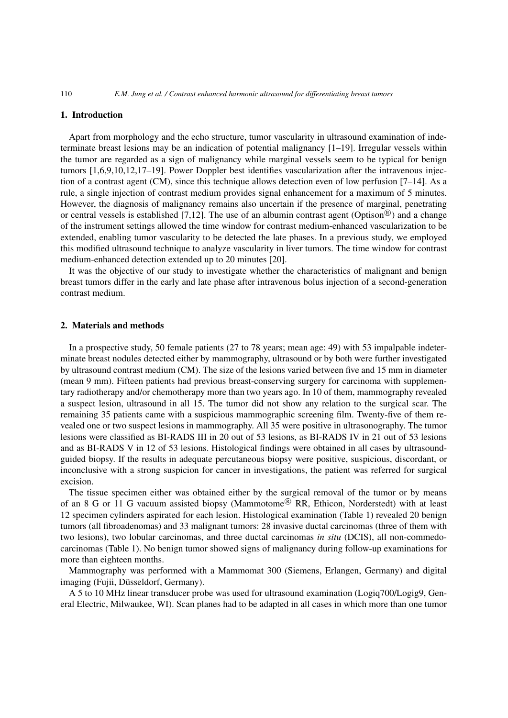# **1. Introduction**

Apart from morphology and the echo structure, tumor vascularity in ultrasound examination of indeterminate breast lesions may be an indication of potential malignancy [1–19]. Irregular vessels within the tumor are regarded as a sign of malignancy while marginal vessels seem to be typical for benign tumors [1,6,9,10,12,17–19]. Power Doppler best identifies vascularization after the intravenous injection of a contrast agent (CM), since this technique allows detection even of low perfusion [7–14]. As a rule, a single injection of contrast medium provides signal enhancement for a maximum of 5 minutes. However, the diagnosis of malignancy remains also uncertain if the presence of marginal, penetrating or central vessels is established [7,12]. The use of an albumin contrast agent (Optison<sup>®</sup>) and a change of the instrument settings allowed the time window for contrast medium-enhanced vascularization to be extended, enabling tumor vascularity to be detected the late phases. In a previous study, we employed this modified ultrasound technique to analyze vascularity in liver tumors. The time window for contrast medium-enhanced detection extended up to 20 minutes [20].

It was the objective of our study to investigate whether the characteristics of malignant and benign breast tumors differ in the early and late phase after intravenous bolus injection of a second-generation contrast medium.

# **2. Materials and methods**

In a prospective study, 50 female patients (27 to 78 years; mean age: 49) with 53 impalpable indeterminate breast nodules detected either by mammography, ultrasound or by both were further investigated by ultrasound contrast medium (CM). The size of the lesions varied between five and 15 mm in diameter (mean 9 mm). Fifteen patients had previous breast-conserving surgery for carcinoma with supplementary radiotherapy and/or chemotherapy more than two years ago. In 10 of them, mammography revealed a suspect lesion, ultrasound in all 15. The tumor did not show any relation to the surgical scar. The remaining 35 patients came with a suspicious mammographic screening film. Twenty-five of them revealed one or two suspect lesions in mammography. All 35 were positive in ultrasonography. The tumor lesions were classified as BI-RADS III in 20 out of 53 lesions, as BI-RADS IV in 21 out of 53 lesions and as BI-RADS V in 12 of 53 lesions. Histological findings were obtained in all cases by ultrasoundguided biopsy. If the results in adequate percutaneous biopsy were positive, suspicious, discordant, or inconclusive with a strong suspicion for cancer in investigations, the patient was referred for surgical excision.

The tissue specimen either was obtained either by the surgical removal of the tumor or by means of an 8 G or 11 G vacuum assisted biopsy (Mammotome<sup>(8)</sup> RR, Ethicon, Norderstedt) with at least 12 specimen cylinders aspirated for each lesion. Histological examination (Table 1) revealed 20 benign tumors (all fibroadenomas) and 33 malignant tumors: 28 invasive ductal carcinomas (three of them with two lesions), two lobular carcinomas, and three ductal carcinomas *in situ* (DCIS), all non-commedocarcinomas (Table 1). No benign tumor showed signs of malignancy during follow-up examinations for more than eighteen months.

Mammography was performed with a Mammomat 300 (Siemens, Erlangen, Germany) and digital imaging (Fujii, Düsseldorf, Germany).

A 5 to 10 MHz linear transducer probe was used for ultrasound examination (Logiq700/Logig9, General Electric, Milwaukee, WI). Scan planes had to be adapted in all cases in which more than one tumor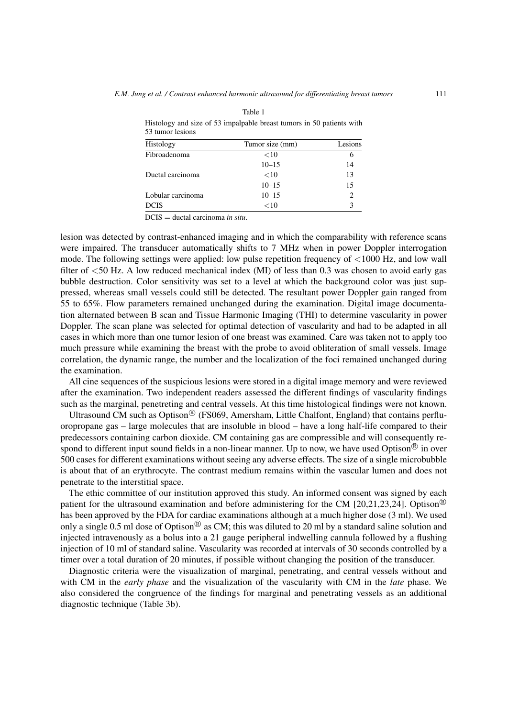| <b>33 tumor lesions</b> |                 |         |
|-------------------------|-----------------|---------|
| Histology               | Tumor size (mm) | Lesions |
| Fibroadenoma            | $<$ 10          |         |
|                         | $10 - 15$       | 14      |
| Ductal carcinoma        | <10             | 13      |
|                         | $10 - 15$       | 15      |
| Lobular carcinoma       | $10 - 15$       |         |
| DCIS                    | $<$ 10          |         |
|                         |                 |         |

Table 1 Histology and size of 53 impalpable breast tumors in 50 patients with 53 tumor lesions

DCIS = ductal carcinoma *in situ*.

lesion was detected by contrast-enhanced imaging and in which the comparability with reference scans were impaired. The transducer automatically shifts to 7 MHz when in power Doppler interrogation mode. The following settings were applied: low pulse repetition frequency of <1000 Hz, and low wall filter of <50 Hz. A low reduced mechanical index (MI) of less than 0.3 was chosen to avoid early gas bubble destruction. Color sensitivity was set to a level at which the background color was just suppressed, whereas small vessels could still be detected. The resultant power Doppler gain ranged from 55 to 65%. Flow parameters remained unchanged during the examination. Digital image documentation alternated between B scan and Tissue Harmonic Imaging (THI) to determine vascularity in power Doppler. The scan plane was selected for optimal detection of vascularity and had to be adapted in all cases in which more than one tumor lesion of one breast was examined. Care was taken not to apply too much pressure while examining the breast with the probe to avoid obliteration of small vessels. Image correlation, the dynamic range, the number and the localization of the foci remained unchanged during the examination.

All cine sequences of the suspicious lesions were stored in a digital image memory and were reviewed after the examination. Two independent readers assessed the different findings of vascularity findings such as the marginal, penetreting and central vessels. At this time histological findings were not known.

Ultrasound CM such as Optison<sup>( $\&$ </sup>) (FS069, Amersham, Little Chalfont, England) that contains perfluoropropane gas – large molecules that are insoluble in blood – have a long half-life compared to their predecessors containing carbon dioxide. CM containing gas are compressible and will consequently respond to different input sound fields in a non-linear manner. Up to now, we have used Optison<sup>®</sup> in over 500 cases for different examinations without seeing any adverse effects. The size of a single microbubble is about that of an erythrocyte. The contrast medium remains within the vascular lumen and does not penetrate to the interstitial space.

The ethic committee of our institution approved this study. An informed consent was signed by each patient for the ultrasound examination and before administering for the CM [20,21,23,24]. Optison<sup>®</sup> has been approved by the FDA for cardiac examinations although at a much higher dose (3 ml). We used only a single 0.5 ml dose of Optison<sup>®</sup> as CM; this was diluted to 20 ml by a standard saline solution and injected intravenously as a bolus into a 21 gauge peripheral indwelling cannula followed by a flushing injection of 10 ml of standard saline. Vascularity was recorded at intervals of 30 seconds controlled by a timer over a total duration of 20 minutes, if possible without changing the position of the transducer.

Diagnostic criteria were the visualization of marginal, penetrating, and central vessels without and with CM in the *early phase* and the visualization of the vascularity with CM in the *late* phase. We also considered the congruence of the findings for marginal and penetrating vessels as an additional diagnostic technique (Table 3b).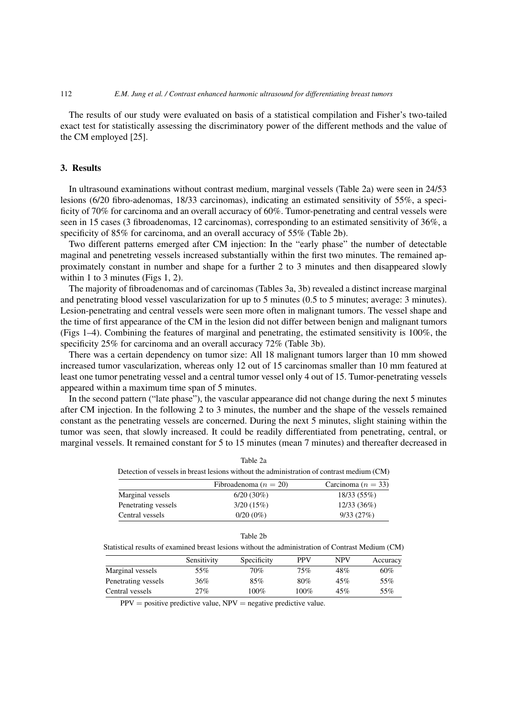### 112 *E.M. Jung et al. / Contrast enhanced harmonic ultrasound for differentiating breast tumors*

The results of our study were evaluated on basis of a statistical compilation and Fisher's two-tailed exact test for statistically assessing the discriminatory power of the different methods and the value of the CM employed [25].

# **3. Results**

In ultrasound examinations without contrast medium, marginal vessels (Table 2a) were seen in 24/53 lesions (6/20 fibro-adenomas, 18/33 carcinomas), indicating an estimated sensitivity of 55%, a specificity of 70% for carcinoma and an overall accuracy of 60%. Tumor-penetrating and central vessels were seen in 15 cases (3 fibroadenomas, 12 carcinomas), corresponding to an estimated sensitivity of 36%, a specificity of 85% for carcinoma, and an overall accuracy of 55% (Table 2b).

Two different patterns emerged after CM injection: In the "early phase" the number of detectable maginal and penetreting vessels increased substantially within the first two minutes. The remained approximately constant in number and shape for a further 2 to 3 minutes and then disappeared slowly within 1 to 3 minutes (Figs 1, 2).

The majority of fibroadenomas and of carcinomas (Tables 3a, 3b) revealed a distinct increase marginal and penetrating blood vessel vascularization for up to 5 minutes (0.5 to 5 minutes; average: 3 minutes). Lesion-penetrating and central vessels were seen more often in malignant tumors. The vessel shape and the time of first appearance of the CM in the lesion did not differ between benign and malignant tumors (Figs 1–4). Combining the features of marginal and penetrating, the estimated sensitivity is 100%, the specificity 25% for carcinoma and an overall accuracy 72% (Table 3b).

There was a certain dependency on tumor size: All 18 malignant tumors larger than 10 mm showed increased tumor vascularization, whereas only 12 out of 15 carcinomas smaller than 10 mm featured at least one tumor penetrating vessel and a central tumor vessel only 4 out of 15. Tumor-penetrating vessels appeared within a maximum time span of 5 minutes.

In the second pattern ("late phase"), the vascular appearance did not change during the next 5 minutes after CM injection. In the following 2 to 3 minutes, the number and the shape of the vessels remained constant as the penetrating vessels are concerned. During the next 5 minutes, slight staining within the tumor was seen, that slowly increased. It could be readily differentiated from penetrating, central, or marginal vessels. It remained constant for 5 to 15 minutes (mean 7 minutes) and thereafter decreased in

| Detection of vessels in breast lesions without the administration of contrast medium (CM) |                           |                        |  |  |  |
|-------------------------------------------------------------------------------------------|---------------------------|------------------------|--|--|--|
|                                                                                           | Fibroadenoma ( $n = 20$ ) | Carcinoma ( $n = 33$ ) |  |  |  |
| Marginal vessels                                                                          | $6/20(30\%)$              | 18/33(55%)             |  |  |  |
| Penetrating vessels                                                                       | 3/20(15%)                 | 12/33(36%)             |  |  |  |
| Central vessels                                                                           | $0/20(0\%)$               | 9/33(27%)              |  |  |  |

| Table 2a |  |
|----------|--|
|          |  |

| able |  |  | $\angle n$ |
|------|--|--|------------|
|------|--|--|------------|

Statistical results of examined breast lesions without the administration of Contrast Medium (CM)

|                     | Sensitivity | Specificity | <b>PPV</b> | NPV | Accuracy |
|---------------------|-------------|-------------|------------|-----|----------|
| Marginal vessels    | 55%         | 70%         | 75%        | 48% | 60%      |
| Penetrating vessels | 36%         | 85%         | 80%        | 45% | 55%      |
| Central vessels     | 27%         | 100%        | $100\%$    | 45% | 55%      |

 $PPV =$  positive predictive value,  $NPV =$  negative predictive value.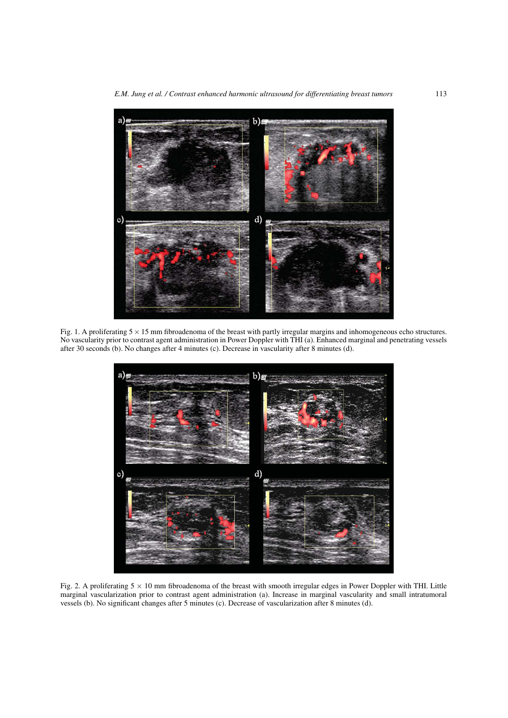*E.M. Jung et al. / Contrast enhanced harmonic ultrasound for differentiating breast tumors* 113



Fig. 1. A proliferating  $5 \times 15$  mm fibroadenoma of the breast with partly irregular margins and inhomogeneous echo structures. No vascularity prior to contrast agent administration in Power Doppler with THI (a). Enhanced marginal and penetrating vessels after 30 seconds (b). No changes after 4 minutes (c). Decrease in vascularity after 8 minutes (d).



Fig. 2. A proliferating  $5 \times 10$  mm fibroadenoma of the breast with smooth irregular edges in Power Doppler with THI. Little marginal vascularization prior to contrast agent administration (a). Increase in marginal vascularity and small intratumoral vessels (b). No significant changes after 5 minutes (c). Decrease of vascularization after 8 minutes (d).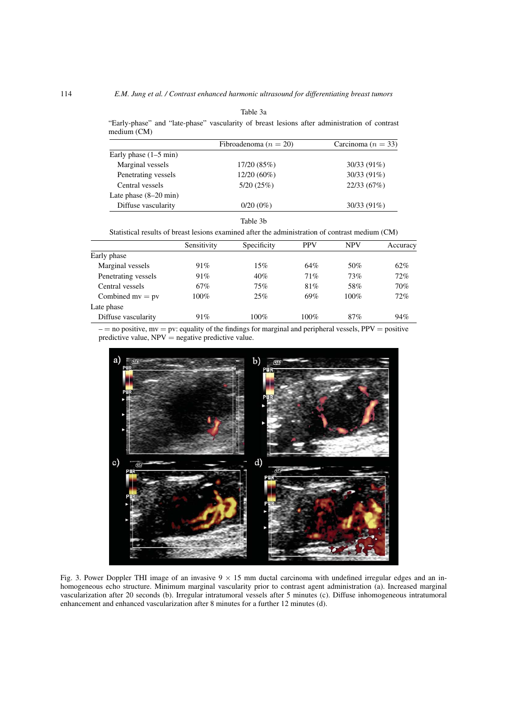|             |  |                           |  | "Early-phase" and "late-phase" vascularity of breast lesions after administration of contrast |  |
|-------------|--|---------------------------|--|-----------------------------------------------------------------------------------------------|--|
| medium (CM) |  |                           |  |                                                                                               |  |
|             |  | Fibroadenoma ( $n = 20$ ) |  | Carcinoma $(n = 33)$                                                                          |  |

|                                 | Fibroadenoma $(n = 20)$ | Carcinoma $(n = 35)$ |  |  |
|---------------------------------|-------------------------|----------------------|--|--|
| Early phase $(1–5 \text{ min})$ |                         |                      |  |  |
| Marginal vessels                | 17/20(85%)              | $30/33(91\%)$        |  |  |
| Penetrating vessels             | $12/20(60\%)$           | $30/33(91\%)$        |  |  |
| Central vessels                 | 5/20(25%)               | 22/33(67%)           |  |  |
| Late phase $(8-20 \text{ min})$ |                         |                      |  |  |
| Diffuse vascularity             | $0/20(0\%)$             | $30/33(91\%)$        |  |  |
|                                 | Table 3b                |                      |  |  |

Statistical results of breast lesions examined after the administration of contrast medium (CM)

|                     | Sensitivity | Specificity | <b>PPV</b> | <b>NPV</b> | Accuracy |
|---------------------|-------------|-------------|------------|------------|----------|
| Early phase         |             |             |            |            |          |
| Marginal vessels    | 91%         | 15%         | 64%        | 50%        | 62%      |
| Penetrating vessels | 91%         | 40%         | 71%        | 73%        | 72%      |
| Central vessels     | 67%         | 75%         | 81%        | 58%        | 70%      |
| Combined $mv = pv$  | $100\%$     | 25%         | 69%        | $100\%$    | 72%      |
| Late phase          |             |             |            |            |          |
| Diffuse vascularity | 91%         | $100\%$     | $100\%$    | 87%        | 94%      |

 $-$  = no positive, mv = pv: equality of the findings for marginal and peripheral vessels, PPV = positive predictive value,  $NPV$  = negative predictive value.



Fig. 3. Power Doppler THI image of an invasive  $9 \times 15$  mm ductal carcinoma with undefined irregular edges and an inhomogeneous echo structure. Minimum marginal vascularity prior to contrast agent administration (a). Increased marginal vascularization after 20 seconds (b). Irregular intratumoral vessels after 5 minutes (c). Diffuse inhomogeneous intratumoral enhancement and enhanced vascularization after 8 minutes for a further 12 minutes (d).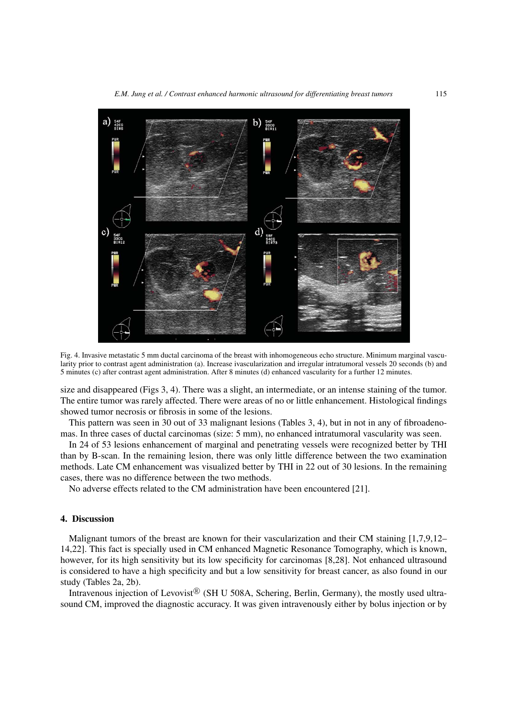

Fig. 4. Invasive metastatic 5 mm ductal carcinoma of the breast with inhomogeneous echo structure. Minimum marginal vascularity prior to contrast agent administration (a). Increase ivascularization and irregular intratumoral vessels 20 seconds (b) and 5 minutes (c) after contrast agent administration. After 8 minutes (d) enhanced vascularity for a further 12 minutes.

size and disappeared (Figs 3, 4). There was a slight, an intermediate, or an intense staining of the tumor. The entire tumor was rarely affected. There were areas of no or little enhancement. Histological findings showed tumor necrosis or fibrosis in some of the lesions.

This pattern was seen in 30 out of 33 malignant lesions (Tables 3, 4), but in not in any of fibroadenomas. In three cases of ductal carcinomas (size: 5 mm), no enhanced intratumoral vascularity was seen.

In 24 of 53 lesions enhancement of marginal and penetrating vessels were recognized better by THI than by B-scan. In the remaining lesion, there was only little difference between the two examination methods. Late CM enhancement was visualized better by THI in 22 out of 30 lesions. In the remaining cases, there was no difference between the two methods.

No adverse effects related to the CM administration have been encountered [21].

# **4. Discussion**

Malignant tumors of the breast are known for their vascularization and their CM staining [1,7,9,12– 14,22]. This fact is specially used in CM enhanced Magnetic Resonance Tomography, which is known, however, for its high sensitivity but its low specificity for carcinomas [8,28]. Not enhanced ultrasound is considered to have a high specificity and but a low sensitivity for breast cancer, as also found in our study (Tables 2a, 2b).

Intravenous injection of Levovist<sup>®</sup> (SH U 508A, Schering, Berlin, Germany), the mostly used ultrasound CM, improved the diagnostic accuracy. It was given intravenously either by bolus injection or by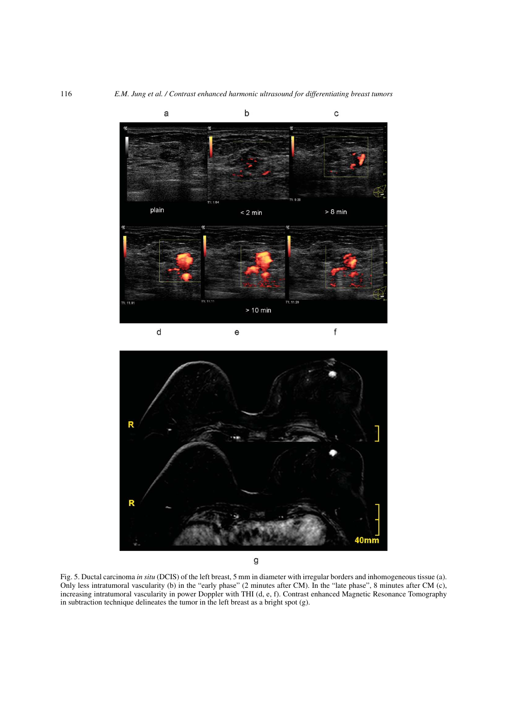

 $\sf d$  $\mathsf{f}$  $\mathsf{e}% _{0}\left( \mathsf{e}_{0}\right) ^{1}\left( \mathsf{e}_{0}\right) ^{1}\left( \mathsf{e}_{0}\right)$ 



Fig. 5. Ductal carcinoma *in situ* (DCIS) of the left breast, 5 mm in diameter with irregular borders and inhomogeneous tissue (a). Only less intratumoral vascularity (b) in the "early phase" (2 minutes after CM). In the "late phase", 8 minutes after CM (c), increasing intratumoral vascularity in power Doppler with THI (d, e, f). Contrast enhanced Magnetic Resonance Tomography in subtraction technique delineates the tumor in the left breast as a bright spot (g).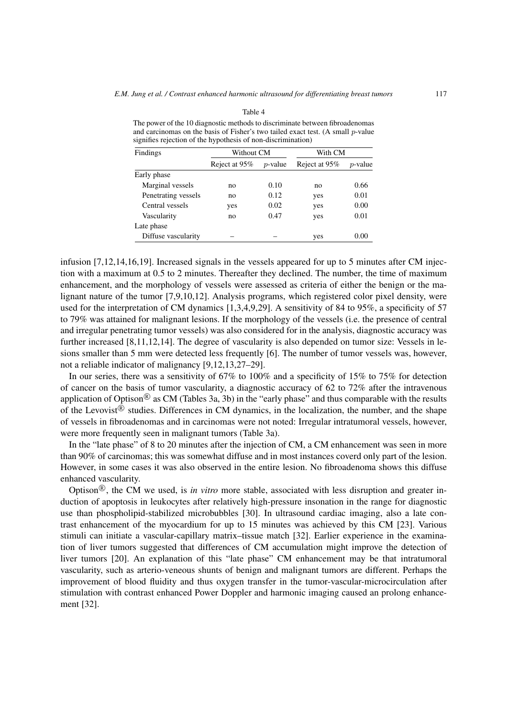| The power of the 10 diagnostic methods to discriminate between fibroadenomas       |
|------------------------------------------------------------------------------------|
| and carcinomas on the basis of Fisher's two tailed exact test. (A small $p$ -value |
| signifies rejection of the hypothesis of non-discrimination)                       |
|                                                                                    |

Table 4

| Findings            | Without CM    |            | With CM       |            |  |
|---------------------|---------------|------------|---------------|------------|--|
|                     | Reject at 95% | $p$ -value | Reject at 95% | $p$ -value |  |
| Early phase         |               |            |               |            |  |
| Marginal vessels    | no            | 0.10       | no            | 0.66       |  |
| Penetrating vessels | no            | 0.12       | yes           | 0.01       |  |
| Central vessels     | yes           | 0.02       | yes           | 0.00       |  |
| Vascularity         | no            | 0.47       | yes           | 0.01       |  |
| Late phase          |               |            |               |            |  |
| Diffuse vascularity |               |            | yes           | 0.00       |  |

infusion [7,12,14,16,19]. Increased signals in the vessels appeared for up to 5 minutes after CM injection with a maximum at 0.5 to 2 minutes. Thereafter they declined. The number, the time of maximum enhancement, and the morphology of vessels were assessed as criteria of either the benign or the malignant nature of the tumor [7,9,10,12]. Analysis programs, which registered color pixel density, were used for the interpretation of CM dynamics [1,3,4,9,29]. A sensitivity of 84 to 95%, a specificity of 57 to 79% was attained for malignant lesions. If the morphology of the vessels (i.e. the presence of central and irregular penetrating tumor vessels) was also considered for in the analysis, diagnostic accuracy was further increased [8,11,12,14]. The degree of vascularity is also depended on tumor size: Vessels in lesions smaller than 5 mm were detected less frequently [6]. The number of tumor vessels was, however, not a reliable indicator of malignancy [9,12,13,27–29].

In our series, there was a sensitivity of 67% to 100% and a specificity of 15% to 75% for detection of cancer on the basis of tumor vascularity, a diagnostic accuracy of 62 to 72% after the intravenous application of Optison<sup>®</sup> as CM (Tables 3a, 3b) in the "early phase" and thus comparable with the results of the Levovist<sup>®</sup> studies. Differences in CM dynamics, in the localization, the number, and the shape of vessels in fibroadenomas and in carcinomas were not noted: Irregular intratumoral vessels, however, were more frequently seen in malignant tumors (Table 3a).

In the "late phase" of 8 to 20 minutes after the injection of CM, a CM enhancement was seen in more than 90% of carcinomas; this was somewhat diffuse and in most instances coverd only part of the lesion. However, in some cases it was also observed in the entire lesion. No fibroadenoma shows this diffuse enhanced vascularity.

Optison<sup>®</sup>, the CM we used, is *in vitro* more stable, associated with less disruption and greater induction of apoptosis in leukocytes after relatively high-pressure insonation in the range for diagnostic use than phospholipid-stabilized microbubbles [30]. In ultrasound cardiac imaging, also a late contrast enhancement of the myocardium for up to 15 minutes was achieved by this CM [23]. Various stimuli can initiate a vascular-capillary matrix–tissue match [32]. Earlier experience in the examination of liver tumors suggested that differences of CM accumulation might improve the detection of liver tumors [20]. An explanation of this "late phase" CM enhancement may be that intratumoral vascularity, such as arterio-veneous shunts of benign and malignant tumors are different. Perhaps the improvement of blood fluidity and thus oxygen transfer in the tumor-vascular-microcirculation after stimulation with contrast enhanced Power Doppler and harmonic imaging caused an prolong enhancement [32].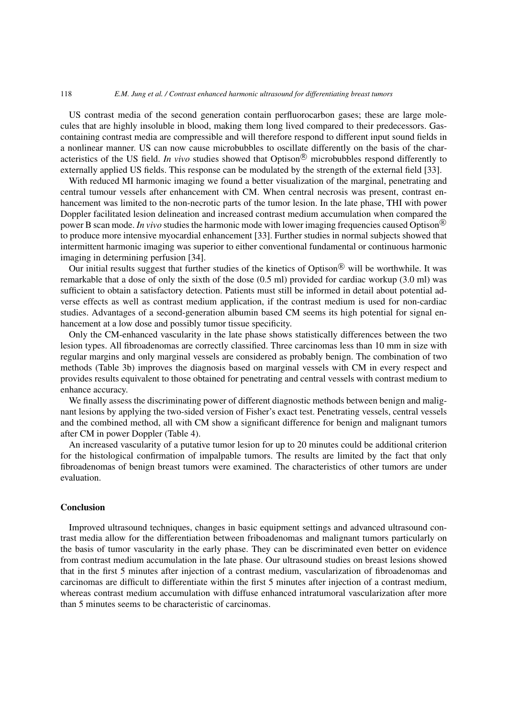### 118 *E.M. Jung et al. / Contrast enhanced harmonic ultrasound for differentiating breast tumors*

US contrast media of the second generation contain perfluorocarbon gases; these are large molecules that are highly insoluble in blood, making them long lived compared to their predecessors. Gascontaining contrast media are compressible and will therefore respond to different input sound fields in a nonlinear manner. US can now cause microbubbles to oscillate differently on the basis of the characteristics of the US field. *In vivo* studies showed that Optison<sup>®</sup> microbubbles respond differently to externally applied US fields. This response can be modulated by the strength of the external field [33].

With reduced MI harmonic imaging we found a better visualization of the marginal, penetrating and central tumour vessels after enhancement with CM. When central necrosis was present, contrast enhancement was limited to the non-necrotic parts of the tumor lesion. In the late phase, THI with power Doppler facilitated lesion delineation and increased contrast medium accumulation when compared the power B scan mode. *In vivo* studies the harmonic mode with lower imaging frequencies caused Optison<sup>®</sup> to produce more intensive myocardial enhancement [33]. Further studies in normal subjects showed that intermittent harmonic imaging was superior to either conventional fundamental or continuous harmonic imaging in determining perfusion [34].

Our initial results suggest that further studies of the kinetics of Optison<sup>®</sup> will be worthwhile. It was remarkable that a dose of only the sixth of the dose (0.5 ml) provided for cardiac workup (3.0 ml) was sufficient to obtain a satisfactory detection. Patients must still be informed in detail about potential adverse effects as well as contrast medium application, if the contrast medium is used for non-cardiac studies. Advantages of a second-generation albumin based CM seems its high potential for signal enhancement at a low dose and possibly tumor tissue specificity.

Only the CM-enhanced vascularity in the late phase shows statistically differences between the two lesion types. All fibroadenomas are correctly classified. Three carcinomas less than 10 mm in size with regular margins and only marginal vessels are considered as probably benign. The combination of two methods (Table 3b) improves the diagnosis based on marginal vessels with CM in every respect and provides results equivalent to those obtained for penetrating and central vessels with contrast medium to enhance accuracy.

We finally assess the discriminating power of different diagnostic methods between benign and malignant lesions by applying the two-sided version of Fisher's exact test. Penetrating vessels, central vessels and the combined method, all with CM show a significant difference for benign and malignant tumors after CM in power Doppler (Table 4).

An increased vascularity of a putative tumor lesion for up to 20 minutes could be additional criterion for the histological confirmation of impalpable tumors. The results are limited by the fact that only fibroadenomas of benign breast tumors were examined. The characteristics of other tumors are under evaluation.

# **Conclusion**

Improved ultrasound techniques, changes in basic equipment settings and advanced ultrasound contrast media allow for the differentiation between friboadenomas and malignant tumors particularly on the basis of tumor vascularity in the early phase. They can be discriminated even better on evidence from contrast medium accumulation in the late phase. Our ultrasound studies on breast lesions showed that in the first 5 minutes after injection of a contrast medium, vascularization of fibroadenomas and carcinomas are difficult to differentiate within the first 5 minutes after injection of a contrast medium, whereas contrast medium accumulation with diffuse enhanced intratumoral vascularization after more than 5 minutes seems to be characteristic of carcinomas.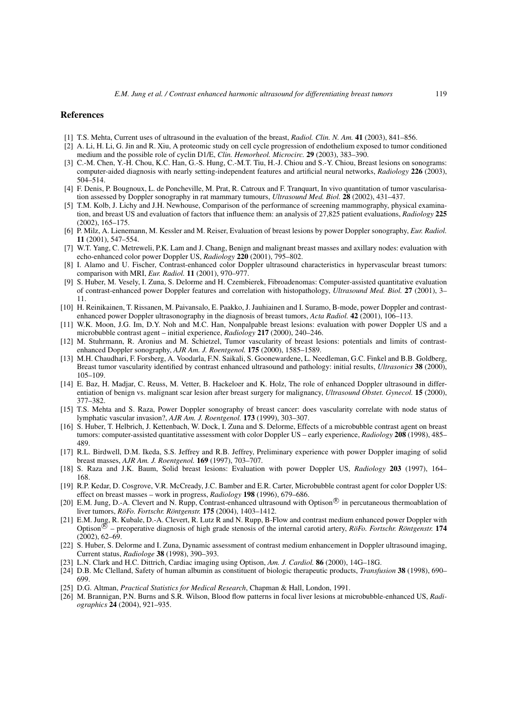## **References**

- [1] T.S. Mehta, Current uses of ultrasound in the evaluation of the breast, *Radiol. Clin. N. Am.* **41** (2003), 841–856.
- [2] A. Li, H. Li, G. Jin and R. Xiu, A proteomic study on cell cycle progression of endothelium exposed to tumor conditioned medium and the possible role of cyclin D1/E, *Clin. Hemorheol. Microcirc.* **29** (2003), 383–390.
- [3] C.-M. Chen, Y.-H. Chou, K.C. Han, G.-S. Hung, C.-M.T. Tiu, H.-J. Chiou and S.-Y. Chiou, Breast lesions on sonograms: computer-aided diagnosis with nearly setting-independent features and artificial neural networks, *Radiology* **226** (2003), 504–514.
- [4] F. Denis, P. Bougnoux, L. de Poncheville, M. Prat, R. Catroux and F. Tranquart, In vivo quantitation of tumor vascularisation assessed by Doppler sonography in rat mammary tumours, *Ultrasound Med. Biol.* **28** (2002), 431–437.
- [5] T.M. Kolb, J. Lichy and J.H. Newhouse, Comparison of the performance of screening mammography, physical examination, and breast US and evaluation of factors that influence them: an analysis of 27,825 patient evaluations, *Radiology* **225** (2002), 165–175.
- [6] P. Milz, A. Lienemann, M. Kessler and M. Reiser, Evaluation of breast lesions by power Doppler sonography, *Eur. Radiol.* **11** (2001), 547–554.
- [7] W.T. Yang, C. Metreweli, P.K. Lam and J. Chang, Benign and malignant breast masses and axillary nodes: evaluation with echo-enhanced color power Doppler US, *Radiology* **220** (2001), 795–802.
- [8] I. Alamo and U. Fischer, Contrast-enhanced color Doppler ultrasound characteristics in hypervascular breast tumors: comparison with MRI, *Eur. Radiol.* **11** (2001), 970–977.
- [9] S. Huber, M. Vesely, I. Zuna, S. Delorme and H. Czembierek, Fibroadenomas: Computer-assisted quantitative evaluation of contrast-enhanced power Doppler features and correlation with histopathology, *Ultrasound Med. Biol.* **27** (2001), 3– 11.
- [10] H. Reinikainen, T. Rissanen, M. Paivansalo, E. Paakko, J. Jauhiainen and I. Suramo, B-mode, power Doppler and contrastenhanced power Doppler ultrasonography in the diagnosis of breast tumors, *Acta Radiol.* **42** (2001), 106–113.
- [11] W.K. Moon, J.G. Im, D.Y. Noh and M.C. Han, Nonpalpable breast lesions: evaluation with power Doppler US and a microbubble contrast agent – initial experience, *Radiology* **217** (2000), 240–246.
- [12] M. Stuhrmann, R. Aronius and M. Schietzel, Tumor vascularity of breast lesions: potentials and limits of contrastenhanced Doppler sonography, *AJR Am. J. Roentgenol.* **175** (2000), 1585–1589.
- [13] M.H. Chaudhari, F. Forsberg, A. Voodarla, F.N. Saikali, S. Goonewardene, L. Needleman, G.C. Finkel and B.B. Goldberg, Breast tumor vascularity identified by contrast enhanced ultrasound and pathology: initial results, *Ultrasonics* **38** (2000), 105–109.
- [14] E. Baz, H. Madjar, C. Reuss, M. Vetter, B. Hackeloer and K. Holz, The role of enhanced Doppler ultrasound in differentiation of benign vs. malignant scar lesion after breast surgery for malignancy, *Ultrasound Obstet. Gynecol.* **15** (2000), 377–382.
- [15] T.S. Mehta and S. Raza, Power Doppler sonography of breast cancer: does vascularity correlate with node status of lymphatic vascular invasion?, *AJR Am. J. Roentgenol.* **173** (1999), 303–307.
- [16] S. Huber, T. Helbrich, J. Kettenbach, W. Dock, I. Zuna and S. Delorme, Effects of a microbubble contrast agent on breast tumors: computer-assisted quantitative assessment with color Doppler US – early experience, *Radiology* **208** (1998), 485– 489.
- [17] R.L. Birdwell, D.M. Ikeda, S.S. Jeffrey and R.B. Jeffrey, Preliminary experience with power Doppler imaging of solid breast masses, *AJR Am. J. Roentgenol.* **169** (1997), 703–707.
- [18] S. Raza and J.K. Baum, Solid breast lesions: Evaluation with power Doppler US, *Radiology* **203** (1997), 164– 168.
- [19] R.P. Kedar, D. Cosgrove, V.R. McCready, J.C. Bamber and E.R. Carter, Microbubble contrast agent for color Doppler US: effect on breast masses – work in progress, *Radiology* **198** (1996), 679–686.
- [20] E.M. Jung, D.-A. Clevert and N. Rupp. Contrast-enhanced ultrasound with Optison<sup>®</sup> in percutaneous thermoablation of liver tumors, *RöFo. Fortschr. Röntgenstr.* **175** (2004), 1403–1412.
- [21] E.M. Jung, R. Kubale, D.-A. Clevert, R. Lutz R and N. Rupp, B-Flow and contrast medium enhanced power Doppler with Optison<sup> $\&$ </sup> – preoperative diagnosis of high grade stenosis of the internal carotid artery, *RöFo. Fortschr. Röntgenstr.* **174**  $(2002)$ , 62–69.
- [22] S. Huber, S. Delorme and I. Zuna, Dynamic assessment of contrast medium enhancement in Doppler ultrasound imaging, Current status, *Radiologe* **38** (1998), 390–393.
- [23] L.N. Clark and H.C. Dittrich, Cardiac imaging using Optison, *Am. J. Cardiol.* **86** (2000), 14G–18G.
- [24] D.B. Mc Clelland, Safety of human albumin as constituent of biologic therapeutic products, *Transfusion* **38** (1998), 690– 699.
- [25] D.G. Altman, *Practical Statistics for Medical Research*, Chapman & Hall, London, 1991.
- [26] M. Brannigan, P.N. Burns and S.R. Wilson, Blood flow patterns in focal liver lesions at microbubble-enhanced US, *Radiographics* **24** (2004), 921–935.